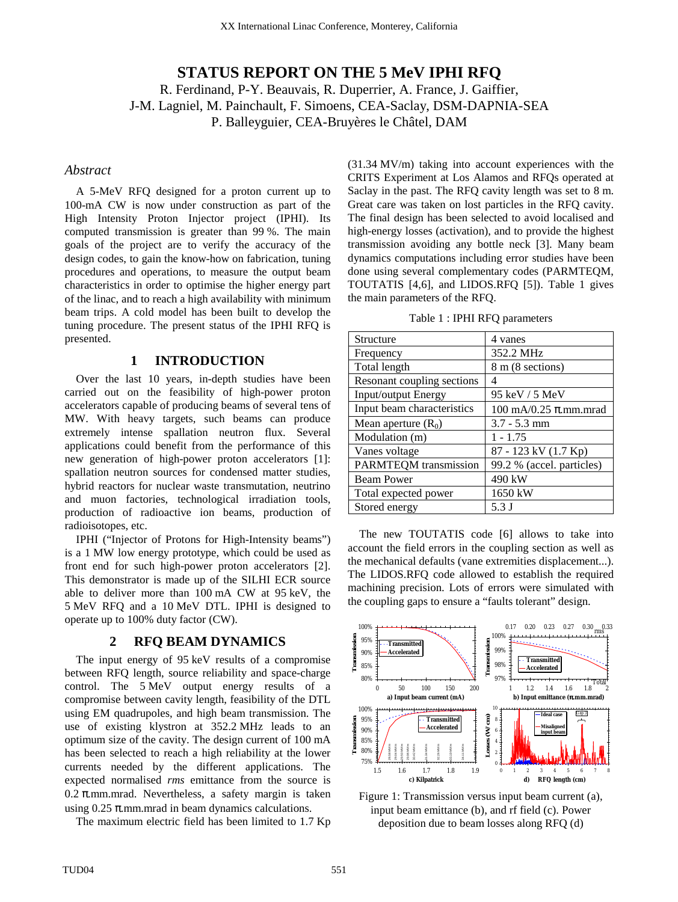# **STATUS REPORT ON THE 5 MeV IPHI RFQ**

R. Ferdinand, P-Y. Beauvais, R. Duperrier, A. France, J. Gaiffier, J-M. Lagniel, M. Painchault, F. Simoens, CEA-Saclay, DSM-DAPNIA-SEA P. Balleyguier, CEA-Bruyères le Châtel, DAM

#### *Abstract*

A 5-MeV RFQ designed for a proton current up to 100-mA CW is now under construction as part of the High Intensity Proton Injector project (IPHI). Its computed transmission is greater than 99 %. The main goals of the project are to verify the accuracy of the design codes, to gain the know-how on fabrication, tuning procedures and operations, to measure the output beam characteristics in order to optimise the higher energy part of the linac, and to reach a high availability with minimum beam trips. A cold model has been built to develop the tuning procedure. The present status of the IPHI RFQ is presented.

#### **1 INTRODUCTION**

Over the last 10 years, in-depth studies have been carried out on the feasibility of high-power proton accelerators capable of producing beams of several tens of MW. With heavy targets, such beams can produce extremely intense spallation neutron flux. Several applications could benefit from the performance of this new generation of high-power proton accelerators [1]: spallation neutron sources for condensed matter studies, hybrid reactors for nuclear waste transmutation, neutrino and muon factories, technological irradiation tools, production of radioactive ion beams, production of radioisotopes, etc.

IPHI ("Injector of Protons for High-Intensity beams") is a 1 MW low energy prototype, which could be used as front end for such high-power proton accelerators [2]. This demonstrator is made up of the SILHI ECR source able to deliver more than 100 mA CW at 95 keV, the 5 MeV RFQ and a 10 MeV DTL. IPHI is designed to operate up to 100% duty factor (CW).

#### **2 RFQ BEAM DYNAMICS**

The input energy of 95 keV results of a compromise between RFQ length, source reliability and space-charge control. The 5 MeV output energy results of a compromise between cavity length, feasibility of the DTL using EM quadrupoles, and high beam transmission. The use of existing klystron at 352.2 MHz leads to an optimum size of the cavity. The design current of 100 mA has been selected to reach a high reliability at the lower currents needed by the different applications. The expected normalised *rms* emittance from the source is  $0.2$   $\pi$ .mm.mrad. Nevertheless, a safety margin is taken using  $0.25$   $\pi$ .mm.mrad in beam dynamics calculations.

The maximum electric field has been limited to 1.7 Kp

(31.34 MV/m) taking into account experiences with the CRITS Experiment at Los Alamos and RFQs operated at Saclay in the past. The RFQ cavity length was set to 8 m. Great care was taken on lost particles in the RFQ cavity. The final design has been selected to avoid localised and high-energy losses (activation), and to provide the highest transmission avoiding any bottle neck [3]. Many beam dynamics computations including error studies have been done using several complementary codes (PARMTEQM, TOUTATIS [4,6], and LIDOS.RFQ [5]). Table 1 gives the main parameters of the RFQ.

|  |  |  |  |  | Table 1 : IPHI RFQ parameters |
|--|--|--|--|--|-------------------------------|
|--|--|--|--|--|-------------------------------|

| Structure                    | 4 vanes                                                           |  |  |  |  |  |  |  |  |
|------------------------------|-------------------------------------------------------------------|--|--|--|--|--|--|--|--|
| Frequency                    | 352.2 MHz                                                         |  |  |  |  |  |  |  |  |
| Total length                 | 8 m (8 sections)                                                  |  |  |  |  |  |  |  |  |
| Resonant coupling sections   | 4                                                                 |  |  |  |  |  |  |  |  |
| Input/output Energy          | 95 keV / 5 MeV                                                    |  |  |  |  |  |  |  |  |
| Input beam characteristics   | $100 \text{ mA}/0.25 \pi \text{.} \text{mm} \text{.} \text{mrad}$ |  |  |  |  |  |  |  |  |
| Mean aperture $(R_0)$        | $3.7 - 5.3$ mm                                                    |  |  |  |  |  |  |  |  |
| Modulation (m)               | $1 - 1.75$                                                        |  |  |  |  |  |  |  |  |
| Vanes voltage                | 87 - 123 kV (1.7 Kp)                                              |  |  |  |  |  |  |  |  |
| <b>PARMTEQM</b> transmission | 99.2 % (accel. particles)                                         |  |  |  |  |  |  |  |  |
| <b>Beam Power</b>            | 490 kW                                                            |  |  |  |  |  |  |  |  |
| Total expected power         | 1650 kW                                                           |  |  |  |  |  |  |  |  |
| Stored energy                | 5.3 J                                                             |  |  |  |  |  |  |  |  |

The new TOUTATIS code [6] allows to take into account the field errors in the coupling section as well as the mechanical defaults (vane extremities displacement...). The LIDOS.RFQ code allowed to establish the required machining precision. Lots of errors were simulated with the coupling gaps to ensure a "faults tolerant" design.



Figure 1: Transmission versus input beam current (a), input beam emittance (b), and rf field (c). Power deposition due to beam losses along RFQ (d)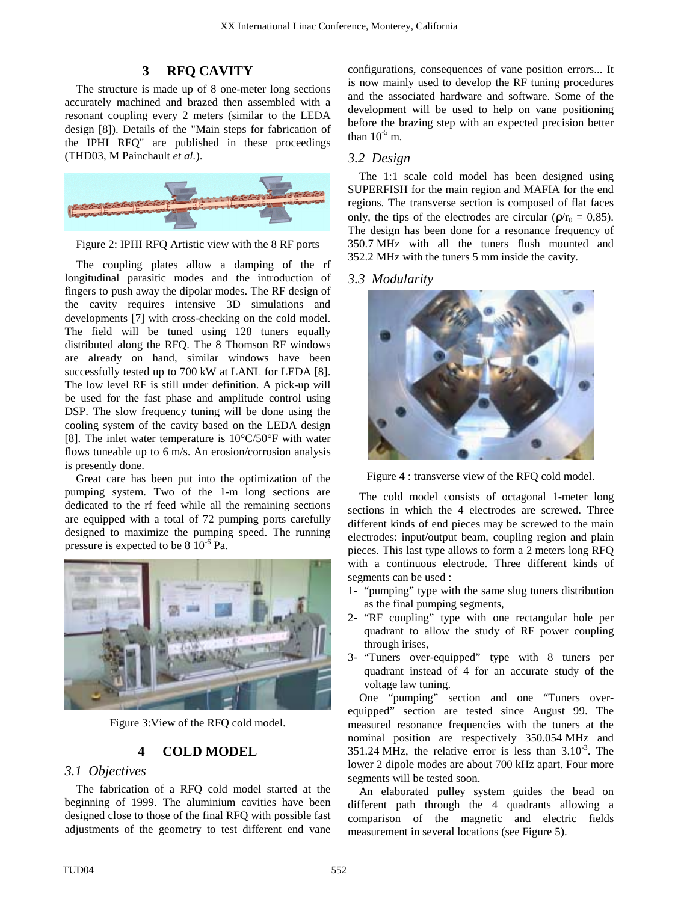### **3 RFQ CAVITY**

The structure is made up of 8 one-meter long sections accurately machined and brazed then assembled with a resonant coupling every 2 meters (similar to the LEDA design [8]). Details of the "Main steps for fabrication of the IPHI RFQ" are published in these proceedings (THD03, M Painchault *et al.*).



Figure 2: IPHI RFQ Artistic view with the 8 RF ports

The coupling plates allow a damping of the rf longitudinal parasitic modes and the introduction of fingers to push away the dipolar modes. The RF design of the cavity requires intensive 3D simulations and developments [7] with cross-checking on the cold model. The field will be tuned using 128 tuners equally distributed along the RFQ. The 8 Thomson RF windows are already on hand, similar windows have been successfully tested up to 700 kW at LANL for LEDA [8]. The low level RF is still under definition. A pick-up will be used for the fast phase and amplitude control using DSP. The slow frequency tuning will be done using the cooling system of the cavity based on the LEDA design [8]. The inlet water temperature is 10°C/50°F with water flows tuneable up to 6 m/s. An erosion/corrosion analysis is presently done.

Great care has been put into the optimization of the pumping system. Two of the 1-m long sections are dedicated to the rf feed while all the remaining sections are equipped with a total of 72 pumping ports carefully designed to maximize the pumping speed. The running pressure is expected to be 8  $10^{-6}$  Pa.



Figure 3:View of the RFQ cold model.

# **4 COLD MODEL**

### *3.1 Objectives*

The fabrication of a RFQ cold model started at the beginning of 1999. The aluminium cavities have been designed close to those of the final RFQ with possible fast adjustments of the geometry to test different end vane configurations, consequences of vane position errors... It is now mainly used to develop the RF tuning procedures and the associated hardware and software. Some of the development will be used to help on vane positioning before the brazing step with an expected precision better than  $10^{-5}$  m.

### *3.2 Design*

The 1:1 scale cold model has been designed using SUPERFISH for the main region and MAFIA for the end regions. The transverse section is composed of flat faces only, the tips of the electrodes are circular ( $\rho/r_0 = 0.85$ ). The design has been done for a resonance frequency of 350.7 MHz with all the tuners flush mounted and 352.2 MHz with the tuners 5 mm inside the cavity.

### *3.3 Modularity*



Figure 4 : transverse view of the RFQ cold model.

The cold model consists of octagonal 1-meter long sections in which the 4 electrodes are screwed. Three different kinds of end pieces may be screwed to the main electrodes: input/output beam, coupling region and plain pieces. This last type allows to form a 2 meters long RFQ with a continuous electrode. Three different kinds of segments can be used :

- 1- "pumping" type with the same slug tuners distribution as the final pumping segments,
- 2- "RF coupling" type with one rectangular hole per quadrant to allow the study of RF power coupling through irises,
- 3- "Tuners over-equipped" type with 8 tuners per quadrant instead of 4 for an accurate study of the voltage law tuning.

One "pumping" section and one "Tuners overequipped" section are tested since August 99. The measured resonance frequencies with the tuners at the nominal position are respectively 350.054 MHz and 351.24 MHz, the relative error is less than  $3.10^{-3}$ . The lower 2 dipole modes are about 700 kHz apart. Four more segments will be tested soon.

An elaborated pulley system guides the bead on different path through the 4 quadrants allowing a comparison of the magnetic and electric fields measurement in several locations (see Figure 5).